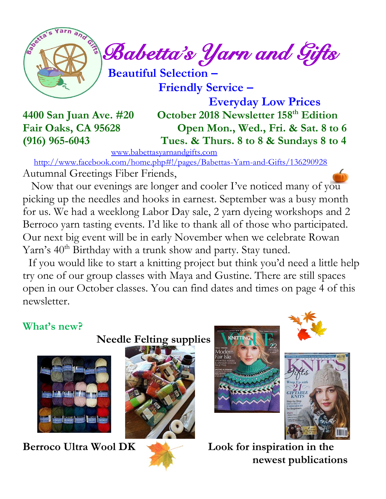

 $\int_{a}^{\infty}$  Babetta's Yarn and Gifts

 **Beautiful Selection –**

 **Friendly Service –**

 **Everyday Low Prices 4400 San Juan Ave. #20 October 2018 Newsletter 158 th Edition Fair Oaks, CA 95628 Open Mon., Wed., Fri. & Sat. 8 to 6 (916) 965-6043 Tues. & Thurs. 8 to 8 & Sundays 8 to 4**

[www.babettasyarnandgifts.com](http://www.babettasyarnandgifts.com/)

 <http://www.facebook.com/home.php#!/pages/Babettas-Yarn-and-Gifts/136290928> Autumnal Greetings Fiber Friends,

 Now that our evenings are longer and cooler I've noticed many of you picking up the needles and hooks in earnest. September was a busy month for us. We had a weeklong Labor Day sale, 2 yarn dyeing workshops and 2 Berroco yarn tasting events. I'd like to thank all of those who participated. Our next big event will be in early November when we celebrate Rowan Yarn's 40<sup>th</sup> Birthday with a trunk show and party. Stay tuned.

 If you would like to start a knitting project but think you'd need a little help try one of our group classes with Maya and Gustine. There are still spaces open in our October classes. You can find dates and times on page 4 of this newsletter.

#### **What's new?**













**Berroco Ultra Wool DK Look for inspiration in the newest publications**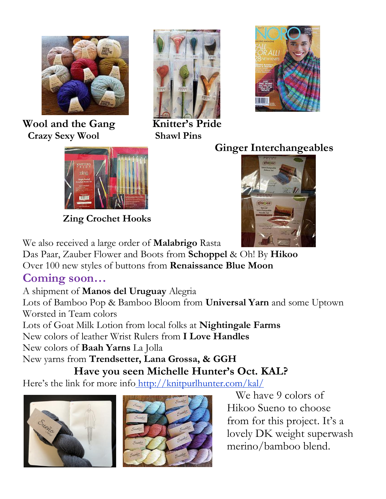

**Wool and the Gang Knitter's Pride Crazy Sexy Wool Shawl Pins**





 **Zing Crochet Hooks**

### **Ginger Interchangeables**



We also received a large order of **Malabrigo** Rasta

Das Paar, Zauber Flower and Boots from **Schoppel** & Oh! By **Hikoo** Over 100 new styles of buttons from **Renaissance Blue Moon**

#### **Coming soon…**

A shipment of **Manos del Uruguay** Alegria

Lots of Bamboo Pop & Bamboo Bloom from **Universal Yarn** and some Uptown Worsted in Team colors

Lots of Goat Milk Lotion from local folks at **Nightingale Farms**

New colors of leather Wrist Rulers from **I Love Handles**

New colors of **Baah Yarns** La Jolla

New yarns from **Trendsetter, Lana Grossa, & GGH Have you seen Michelle Hunter's Oct. KAL?**

Here's the link for more info http://knitpurlhunter.com/kal/





 We have 9 colors of Hikoo Sueno to choose from for this project. It's a lovely DK weight superwash merino/bamboo blend.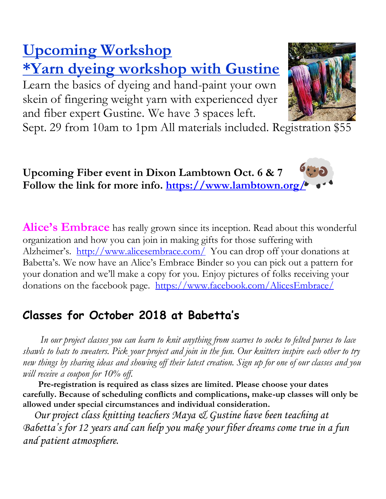# **Upcoming Workshop \*Yarn dyeing workshop with Gustine**

Learn the basics of dyeing and hand-paint your own skein of fingering weight yarn with experienced dyer and fiber expert Gustine. We have 3 spaces left.



Sept. 29 from 10am to 1pm All materials included. Registration \$55



**Alice's Embrace** has really grown since its inception. Read about this wonderful organization and how you can join in making gifts for those suffering with Alzheimer's. <http://www.alicesembrace.com/>You can drop off your donations at Babetta's. We now have an Alice's Embrace Binder so you can pick out a pattern for your donation and we'll make a copy for you. Enjoy pictures of folks receiving your donations on the facebook page. <https://www.facebook.com/AlicesEmbrace/>

## **Classes for October 2018 at Babetta's**

 *In our project classes you can learn to knit anything from scarves to socks to felted purses to lace shawls to hats to sweaters. Pick your project and join in the fun. Our knitters inspire each other to try new things by sharing ideas and showing off their latest creation. Sign up for one of our classes and you will receive a coupon for 10% off.*

 **Pre-registration is required as class sizes are limited. Please choose your dates carefully. Because of scheduling conflicts and complications, make-up classes will only be allowed under special circumstances and individual consideration.**

*Our project class knitting teachers Maya & Gustine have been teaching at Babetta's for 12 years and can help you make your fiber dreams come true in a fun and patient atmosphere.*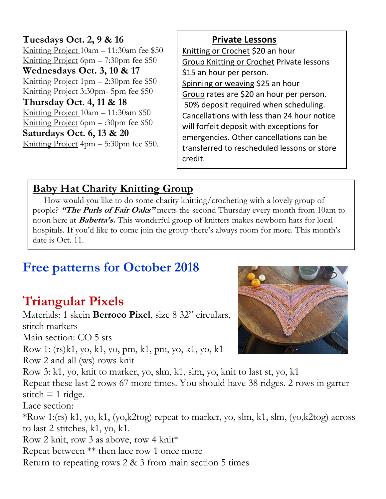**Tuesdays Oct. 2, 9 & 16** Knitting Project 10am – 11:30am fee \$50 Knitting Project 6pm – 7:30pm fee \$50 **Wednesdays Oct. 3, 10 & 17** Knitting Project  $1pm - 2:30pm$  fee \$50 Knitting Project 3:30pm- 5pm fee \$50 **Thursday Oct. 4, 11 & 18** Knitting Project 10am – 11:30am \$50 Knitting Project 6pm – :30pm fee \$50 **Saturdays Oct. 6, 13 & 20** Knitting Project 4pm – 5:30pm fee \$50.

 **Private Lessons**  Knitting or Crochet \$20 an hour Group Knitting or Crochet Private lessons \$15 an hour per person. Spinning or weaving \$25 an hour Group rates are \$20 an hour per person. 50% deposit required when scheduling. Cancellations with less than 24 hour notice will forfeit deposit with exceptions for emergencies. Other cancellations can be transferred to rescheduled lessons or store credit.

#### **Baby Hat Charity Knitting Group**

 How would you like to do some charity knitting/crocheting with a lovely group of people? **"The Purls of Fair Oaks"** meets the second Thursday every month from 10am to noon here at **Babetta's.** This wonderful group of knitters makes newborn hats for local hospitals. If you'd like to come join the group there's always room for more. This month's date is Oct. 11.

# **Free patterns for October 2018**

# **Triangular Pixels**

Materials: 1 skein **Berroco Pixel**, size 8 32" circulars, stitch markers Main section: CO 5 sts Row 1: (rs)k1, yo, k1, yo, pm, k1, pm, yo, k1, yo, k1 Row 2 and all (ws) rows knit Row 3: k1, yo, knit to marker, yo, slm, k1, slm, yo, knit to last st, yo, k1 Repeat these last 2 rows 67 more times. You should have 38 ridges. 2 rows in garter stitch  $= 1$  ridge. Lace section: \*Row 1:(rs) k1, yo, k1, (yo,k2tog) repeat to marker, yo, slm, k1, slm, (yo,k2tog) across to last 2 stitches, k1, yo, k1. Row 2 knit, row 3 as above, row 4 knit\* Repeat between \*\* then lace row 1 once more Return to repeating rows 2 & 3 from main section 5 times